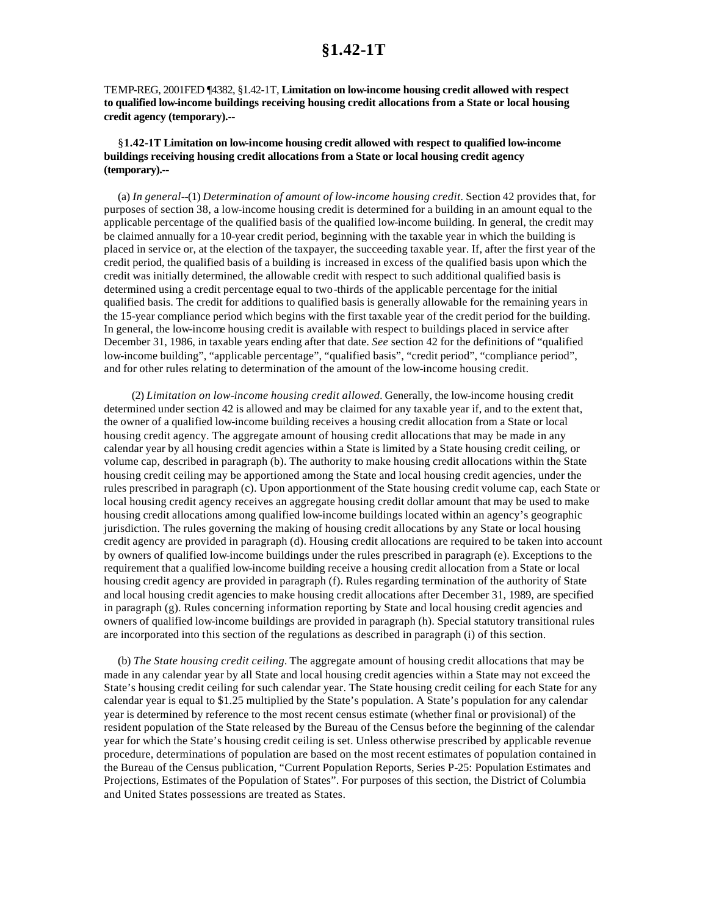TEMP-REG, 2001FED ¶4382, §1.42-1T, **Limitation on low-income housing credit allowed with respect to qualified low-income buildings receiving housing credit allocations from a State or local housing credit agency (temporary).**--

#### §**1.42-1T Limitation on low-income housing credit allowed with respect to qualified low-income buildings receiving housing credit allocations from a State or local housing credit agency (temporary).--**

(a) *In general*--(1) *Determination of amount of low-income housing credit.* Section 42 provides that, for purposes of section 38, a low-income housing credit is determined for a building in an amount equal to the applicable percentage of the qualified basis of the qualified low-income building. In general, the credit may be claimed annually for a 10-year credit period, beginning with the taxable year in which the building is placed in service or, at the election of the taxpayer, the succeeding taxable year. If, after the first year of the credit period, the qualified basis of a building is increased in excess of the qualified basis upon which the credit was initially determined, the allowable credit with respect to such additional qualified basis is determined using a credit percentage equal to two-thirds of the applicable percentage for the initial qualified basis. The credit for additions to qualified basis is generally allowable for the remaining years in the 15-year compliance period which begins with the first taxable year of the credit period for the building. In general, the low-income housing credit is available with respect to buildings placed in service after December 31, 1986, in taxable years ending after that date. *See* section 42 for the definitions of "qualified low-income building", "applicable percentage", "qualified basis", "credit period", "compliance period", and for other rules relating to determination of the amount of the low-income housing credit.

(2) *Limitation on low-income housing credit allowed.* Generally, the low-income housing credit determined under section 42 is allowed and may be claimed for any taxable year if, and to the extent that, the owner of a qualified low-income building receives a housing credit allocation from a State or local housing credit agency. The aggregate amount of housing credit allocations that may be made in any calendar year by all housing credit agencies within a State is limited by a State housing credit ceiling, or volume cap, described in paragraph (b). The authority to make housing credit allocations within the State housing credit ceiling may be apportioned among the State and local housing credit agencies, under the rules prescribed in paragraph (c). Upon apportionment of the State housing credit volume cap, each State or local housing credit agency receives an aggregate housing credit dollar amount that may be used to make housing credit allocations among qualified low-income buildings located within an agency's geographic jurisdiction. The rules governing the making of housing credit allocations by any State or local housing credit agency are provided in paragraph (d). Housing credit allocations are required to be taken into account by owners of qualified low-income buildings under the rules prescribed in paragraph (e). Exceptions to the requirement that a qualified low-income building receive a housing credit allocation from a State or local housing credit agency are provided in paragraph (f). Rules regarding termination of the authority of State and local housing credit agencies to make housing credit allocations after December 31, 1989, are specified in paragraph (g). Rules concerning information reporting by State and local housing credit agencies and owners of qualified low-income buildings are provided in paragraph (h). Special statutory transitional rules are incorporated into this section of the regulations as described in paragraph (i) of this section.

(b) *The State housing credit ceiling.* The aggregate amount of housing credit allocations that may be made in any calendar year by all State and local housing credit agencies within a State may not exceed the State's housing credit ceiling for such calendar year. The State housing credit ceiling for each State for any calendar year is equal to \$1.25 multiplied by the State's population. A State's population for any calendar year is determined by reference to the most recent census estimate (whether final or provisional) of the resident population of the State released by the Bureau of the Census before the beginning of the calendar year for which the State's housing credit ceiling is set. Unless otherwise prescribed by applicable revenue procedure, determinations of population are based on the most recent estimates of population contained in the Bureau of the Census publication, "Current Population Reports, Series P-25: Population Estimates and Projections, Estimates of the Population of States". For purposes of this section, the District of Columbia and United States possessions are treated as States.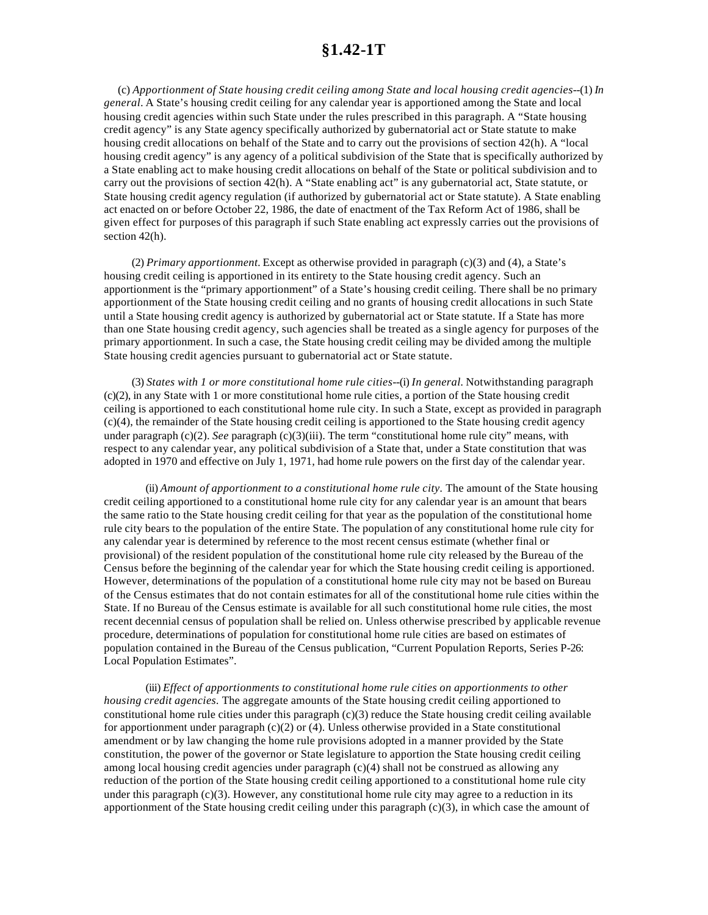(c) *Apportionment of State housing credit ceiling among State and local housing credit agencies*--(1) *In general.* A State's housing credit ceiling for any calendar year is apportioned among the State and local housing credit agencies within such State under the rules prescribed in this paragraph. A "State housing credit agency" is any State agency specifically authorized by gubernatorial act or State statute to make housing credit allocations on behalf of the State and to carry out the provisions of section 42(h). A "local housing credit agency" is any agency of a political subdivision of the State that is specifically authorized by a State enabling act to make housing credit allocations on behalf of the State or political subdivision and to carry out the provisions of section 42(h). A "State enabling act" is any gubernatorial act, State statute, or State housing credit agency regulation (if authorized by gubernatorial act or State statute). A State enabling act enacted on or before October 22, 1986, the date of enactment of the Tax Reform Act of 1986, shall be given effect for purposes of this paragraph if such State enabling act expressly carries out the provisions of section 42(h).

(2) *Primary apportionment.* Except as otherwise provided in paragraph (c)(3) and (4), a State's housing credit ceiling is apportioned in its entirety to the State housing credit agency. Such an apportionment is the "primary apportionment" of a State's housing credit ceiling. There shall be no primary apportionment of the State housing credit ceiling and no grants of housing credit allocations in such State until a State housing credit agency is authorized by gubernatorial act or State statute. If a State has more than one State housing credit agency, such agencies shall be treated as a single agency for purposes of the primary apportionment. In such a case, the State housing credit ceiling may be divided among the multiple State housing credit agencies pursuant to gubernatorial act or State statute.

(3) *States with 1 or more constitutional home rule cities*--(i) *In general.* Notwithstanding paragraph (c)(2), in any State with 1 or more constitutional home rule cities, a portion of the State housing credit ceiling is apportioned to each constitutional home rule city. In such a State, except as provided in paragraph (c)(4), the remainder of the State housing credit ceiling is apportioned to the State housing credit agency under paragraph (c)(2). *See* paragraph (c)(3)(iii). The term "constitutional home rule city" means, with respect to any calendar year, any political subdivision of a State that, under a State constitution that was adopted in 1970 and effective on July 1, 1971, had home rule powers on the first day of the calendar year.

(ii) *Amount of apportionment to a constitutional home rule city.* The amount of the State housing credit ceiling apportioned to a constitutional home rule city for any calendar year is an amount that bears the same ratio to the State housing credit ceiling for that year as the population of the constitutional home rule city bears to the population of the entire State. The population of any constitutional home rule city for any calendar year is determined by reference to the most recent census estimate (whether final or provisional) of the resident population of the constitutional home rule city released by the Bureau of the Census before the beginning of the calendar year for which the State housing credit ceiling is apportioned. However, determinations of the population of a constitutional home rule city may not be based on Bureau of the Census estimates that do not contain estimates for all of the constitutional home rule cities within the State. If no Bureau of the Census estimate is available for all such constitutional home rule cities, the most recent decennial census of population shall be relied on. Unless otherwise prescribed by applicable revenue procedure, determinations of population for constitutional home rule cities are based on estimates of population contained in the Bureau of the Census publication, "Current Population Reports, Series P-26: Local Population Estimates".

(iii) *Effect of apportionments to constitutional home rule cities on apportionments to other housing credit agencies.* The aggregate amounts of the State housing credit ceiling apportioned to constitutional home rule cities under this paragraph  $(c)(3)$  reduce the State housing credit ceiling available for apportionment under paragraph  $(c)(2)$  or (4). Unless otherwise provided in a State constitutional amendment or by law changing the home rule provisions adopted in a manner provided by the State constitution, the power of the governor or State legislature to apportion the State housing credit ceiling among local housing credit agencies under paragraph (c)(4) shall not be construed as allowing any reduction of the portion of the State housing credit ceiling apportioned to a constitutional home rule city under this paragraph  $(c)(3)$ . However, any constitutional home rule city may agree to a reduction in its apportionment of the State housing credit ceiling under this paragraph (c)(3), in which case the amount of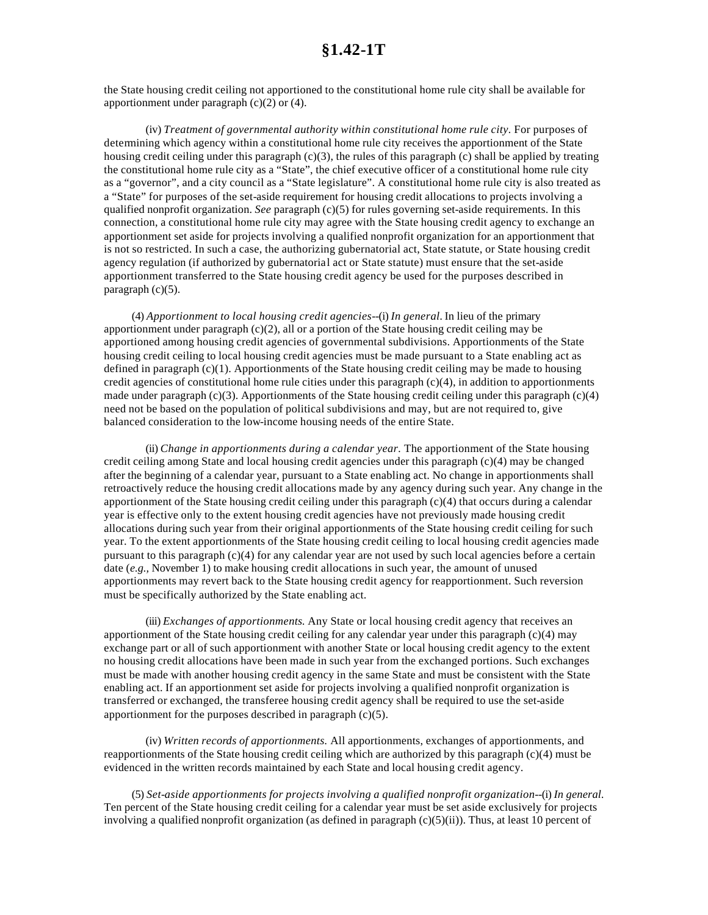the State housing credit ceiling not apportioned to the constitutional home rule city shall be available for apportionment under paragraph  $(c)(2)$  or  $(4)$ .

(iv) *Treatment of governmental authority within constitutional home rule city.* For purposes of determining which agency within a constitutional home rule city receives the apportionment of the State housing credit ceiling under this paragraph (c)(3), the rules of this paragraph (c) shall be applied by treating the constitutional home rule city as a "State", the chief executive officer of a constitutional home rule city as a "governor", and a city council as a "State legislature". A constitutional home rule city is also treated as a "State" for purposes of the set-aside requirement for housing credit allocations to projects involving a qualified nonprofit organization. *See* paragraph (c)(5) for rules governing set-aside requirements. In this connection, a constitutional home rule city may agree with the State housing credit agency to exchange an apportionment set aside for projects involving a qualified nonprofit organization for an apportionment that is not so restricted. In such a case, the authorizing gubernatorial act, State statute, or State housing credit agency regulation (if authorized by gubernatorial act or State statute) must ensure that the set-aside apportionment transferred to the State housing credit agency be used for the purposes described in paragraph  $(c)(5)$ .

(4) *Apportionment to local housing credit agencies--*(i) *In general.* In lieu of the primary apportionment under paragraph  $(c)(2)$ , all or a portion of the State housing credit ceiling may be apportioned among housing credit agencies of governmental subdivisions. Apportionments of the State housing credit ceiling to local housing credit agencies must be made pursuant to a State enabling act as defined in paragraph (c)(1). Apportionments of the State housing credit ceiling may be made to housing credit agencies of constitutional home rule cities under this paragraph  $(c)(4)$ , in addition to apportionments made under paragraph  $(c)(3)$ . Apportionments of the State housing credit ceiling under this paragraph  $(c)(4)$ need not be based on the population of political subdivisions and may, but are not required to, give balanced consideration to the low-income housing needs of the entire State.

(ii) *Change in apportionments during a calendar year.* The apportionment of the State housing credit ceiling among State and local housing credit agencies under this paragraph (c)(4) may be changed after the beginning of a calendar year, pursuant to a State enabling act. No change in apportionments shall retroactively reduce the housing credit allocations made by any agency during such year. Any change in the apportionment of the State housing credit ceiling under this paragraph (c)(4) that occurs during a calendar year is effective only to the extent housing credit agencies have not previously made housing credit allocations during such year from their original apportionments of the State housing credit ceiling for such year. To the extent apportionments of the State housing credit ceiling to local housing credit agencies made pursuant to this paragraph (c)(4) for any calendar year are not used by such local agencies before a certain date (*e.g.,* November 1) to make housing credit allocations in such year, the amount of unused apportionments may revert back to the State housing credit agency for reapportionment. Such reversion must be specifically authorized by the State enabling act.

(iii) *Exchanges of apportionments.* Any State or local housing credit agency that receives an apportionment of the State housing credit ceiling for any calendar year under this paragraph  $(c)(4)$  may exchange part or all of such apportionment with another State or local housing credit agency to the extent no housing credit allocations have been made in such year from the exchanged portions. Such exchanges must be made with another housing credit agency in the same State and must be consistent with the State enabling act. If an apportionment set aside for projects involving a qualified nonprofit organization is transferred or exchanged, the transferee housing credit agency shall be required to use the set-aside apportionment for the purposes described in paragraph  $(c)(5)$ .

(iv) *Written records of apportionments.* All apportionments, exchanges of apportionments, and reapportionments of the State housing credit ceiling which are authorized by this paragraph (c)(4) must be evidenced in the written records maintained by each State and local housing credit agency.

(5) *Set-aside apportionments for projects involving a qualified nonprofit organization*--(i) *In general.* Ten percent of the State housing credit ceiling for a calendar year must be set aside exclusively for projects involving a qualified nonprofit organization (as defined in paragraph (c)(5)(ii)). Thus, at least 10 percent of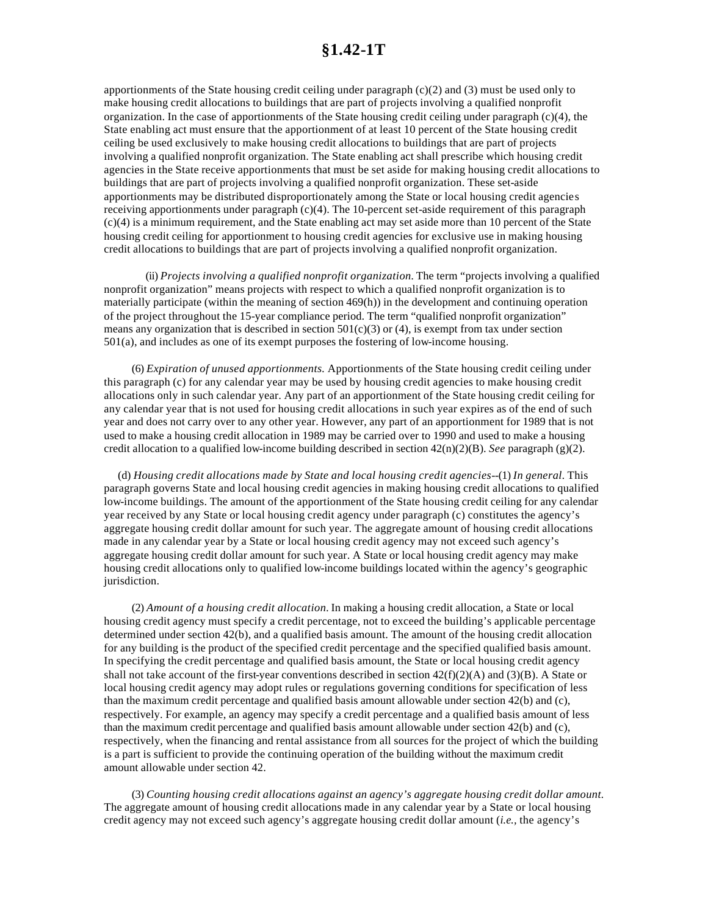apportionments of the State housing credit ceiling under paragraph (c)(2) and (3) must be used only to make housing credit allocations to buildings that are part of projects involving a qualified nonprofit organization. In the case of apportionments of the State housing credit ceiling under paragraph  $(c)(4)$ , the State enabling act must ensure that the apportionment of at least 10 percent of the State housing credit ceiling be used exclusively to make housing credit allocations to buildings that are part of projects involving a qualified nonprofit organization. The State enabling act shall prescribe which housing credit agencies in the State receive apportionments that must be set aside for making housing credit allocations to buildings that are part of projects involving a qualified nonprofit organization. These set-aside apportionments may be distributed disproportionately among the State or local housing credit agencies receiving apportionments under paragraph (c)(4). The 10-percent set-aside requirement of this paragraph (c)(4) is a minimum requirement, and the State enabling act may set aside more than 10 percent of the State housing credit ceiling for apportionment to housing credit agencies for exclusive use in making housing credit allocations to buildings that are part of projects involving a qualified nonprofit organization.

(ii) *Projects involving a qualified nonprofit organization.* The term "projects involving a qualified nonprofit organization" means projects with respect to which a qualified nonprofit organization is to materially participate (within the meaning of section 469(h)) in the development and continuing operation of the project throughout the 15-year compliance period. The term "qualified nonprofit organization" means any organization that is described in section  $501(c)(3)$  or (4), is exempt from tax under section 501(a), and includes as one of its exempt purposes the fostering of low-income housing.

(6) *Expiration of unused apportionments.* Apportionments of the State housing credit ceiling under this paragraph (c) for any calendar year may be used by housing credit agencies to make housing credit allocations only in such calendar year. Any part of an apportionment of the State housing credit ceiling for any calendar year that is not used for housing credit allocations in such year expires as of the end of such year and does not carry over to any other year. However, any part of an apportionment for 1989 that is not used to make a housing credit allocation in 1989 may be carried over to 1990 and used to make a housing credit allocation to a qualified low-income building described in section 42(n)(2)(B). *See* paragraph (g)(2).

(d) *Housing credit allocations made by State and local housing credit agencies*--(1) *In general.* This paragraph governs State and local housing credit agencies in making housing credit allocations to qualified low-income buildings. The amount of the apportionment of the State housing credit ceiling for any calendar year received by any State or local housing credit agency under paragraph (c) constitutes the agency's aggregate housing credit dollar amount for such year. The aggregate amount of housing credit allocations made in any calendar year by a State or local housing credit agency may not exceed such agency's aggregate housing credit dollar amount for such year. A State or local housing credit agency may make housing credit allocations only to qualified low-income buildings located within the agency's geographic jurisdiction.

(2) *Amount of a housing credit allocation.* In making a housing credit allocation, a State or local housing credit agency must specify a credit percentage, not to exceed the building's applicable percentage determined under section 42(b), and a qualified basis amount. The amount of the housing credit allocation for any building is the product of the specified credit percentage and the specified qualified basis amount. In specifying the credit percentage and qualified basis amount, the State or local housing credit agency shall not take account of the first-year conventions described in section  $42(f)(2)(A)$  and  $(3)(B)$ . A State or local housing credit agency may adopt rules or regulations governing conditions for specification of less than the maximum credit percentage and qualified basis amount allowable under section 42(b) and (c), respectively. For example, an agency may specify a credit percentage and a qualified basis amount of less than the maximum credit percentage and qualified basis amount allowable under section 42(b) and (c), respectively, when the financing and rental assistance from all sources for the project of which the building is a part is sufficient to provide the continuing operation of the building without the maximum credit amount allowable under section 42.

(3) *Counting housing credit allocations against an agency's aggregate housing credit dollar amount.* The aggregate amount of housing credit allocations made in any calendar year by a State or local housing credit agency may not exceed such agency's aggregate housing credit dollar amount (*i.e.,* the agency's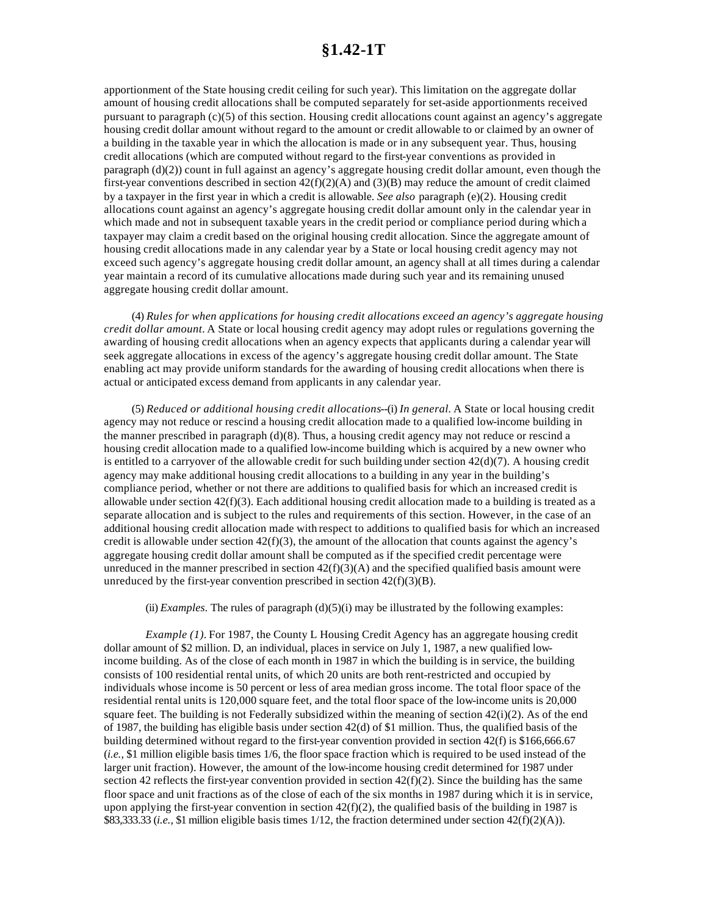apportionment of the State housing credit ceiling for such year). This limitation on the aggregate dollar amount of housing credit allocations shall be computed separately for set-aside apportionments received pursuant to paragraph (c)(5) of this section. Housing credit allocations count against an agency's aggregate housing credit dollar amount without regard to the amount or credit allowable to or claimed by an owner of a building in the taxable year in which the allocation is made or in any subsequent year. Thus, housing credit allocations (which are computed without regard to the first-year conventions as provided in paragraph (d)(2)) count in full against an agency's aggregate housing credit dollar amount, even though the first-year conventions described in section  $42(f)(2)(A)$  and  $(3)(B)$  may reduce the amount of credit claimed by a taxpayer in the first year in which a credit is allowable. *See also* paragraph (e)(2). Housing credit allocations count against an agency's aggregate housing credit dollar amount only in the calendar year in which made and not in subsequent taxable years in the credit period or compliance period during which a taxpayer may claim a credit based on the original housing credit allocation. Since the aggregate amount of housing credit allocations made in any calendar year by a State or local housing credit agency may not exceed such agency's aggregate housing credit dollar amount, an agency shall at all times during a calendar year maintain a record of its cumulative allocations made during such year and its remaining unused aggregate housing credit dollar amount.

(4) *Rules for when applications for housing credit allocations exceed an agency's aggregate housing credit dollar amount.* A State or local housing credit agency may adopt rules or regulations governing the awarding of housing credit allocations when an agency expects that applicants during a calendar year will seek aggregate allocations in excess of the agency's aggregate housing credit dollar amount. The State enabling act may provide uniform standards for the awarding of housing credit allocations when there is actual or anticipated excess demand from applicants in any calendar year.

(5) *Reduced or additional housing credit allocations*--(i) *In general.* A State or local housing credit agency may not reduce or rescind a housing credit allocation made to a qualified low-income building in the manner prescribed in paragraph  $(d)(8)$ . Thus, a housing credit agency may not reduce or rescind a housing credit allocation made to a qualified low-income building which is acquired by a new owner who is entitled to a carryover of the allowable credit for such building under section  $42(d)(7)$ . A housing credit agency may make additional housing credit allocations to a building in any year in the building's compliance period, whether or not there are additions to qualified basis for which an increased credit is allowable under section  $42(f)(3)$ . Each additional housing credit allocation made to a building is treated as a separate allocation and is subject to the rules and requirements of this section. However, in the case of an additional housing credit allocation made with respect to additions to qualified basis for which an increased credit is allowable under section  $42(f)(3)$ , the amount of the allocation that counts against the agency's aggregate housing credit dollar amount shall be computed as if the specified credit percentage were unreduced in the manner prescribed in section  $42(f)(3)(A)$  and the specified qualified basis amount were unreduced by the first-year convention prescribed in section  $42(f)(3)(B)$ .

(ii) *Examples*. The rules of paragraph  $(d)(5)(i)$  may be illustrated by the following examples:

*Example (1).* For 1987, the County L Housing Credit Agency has an aggregate housing credit dollar amount of \$2 million. D, an individual, places in service on July 1, 1987, a new qualified lowincome building. As of the close of each month in 1987 in which the building is in service, the building consists of 100 residential rental units, of which 20 units are both rent-restricted and occupied by individuals whose income is 50 percent or less of area median gross income. The total floor space of the residential rental units is 120,000 square feet, and the total floor space of the low-income units is 20,000 square feet. The building is not Federally subsidized within the meaning of section  $42(i)(2)$ . As of the end of 1987, the building has eligible basis under section  $42(d)$  of \$1 million. Thus, the qualified basis of the building determined without regard to the first-year convention provided in section 42(f) is \$166,666.67 (*i.e.,* \$1 million eligible basis times 1/6, the floor space fraction which is required to be used instead of the larger unit fraction). However, the amount of the low-income housing credit determined for 1987 under section 42 reflects the first-year convention provided in section  $42(f)(2)$ . Since the building has the same floor space and unit fractions as of the close of each of the six months in 1987 during which it is in service, upon applying the first-year convention in section  $42(f)(2)$ , the qualified basis of the building in 1987 is \$83,333.33 (*i.e.,* \$1 million eligible basis times 1/12, the fraction determined under section 42(f)(2)(A)).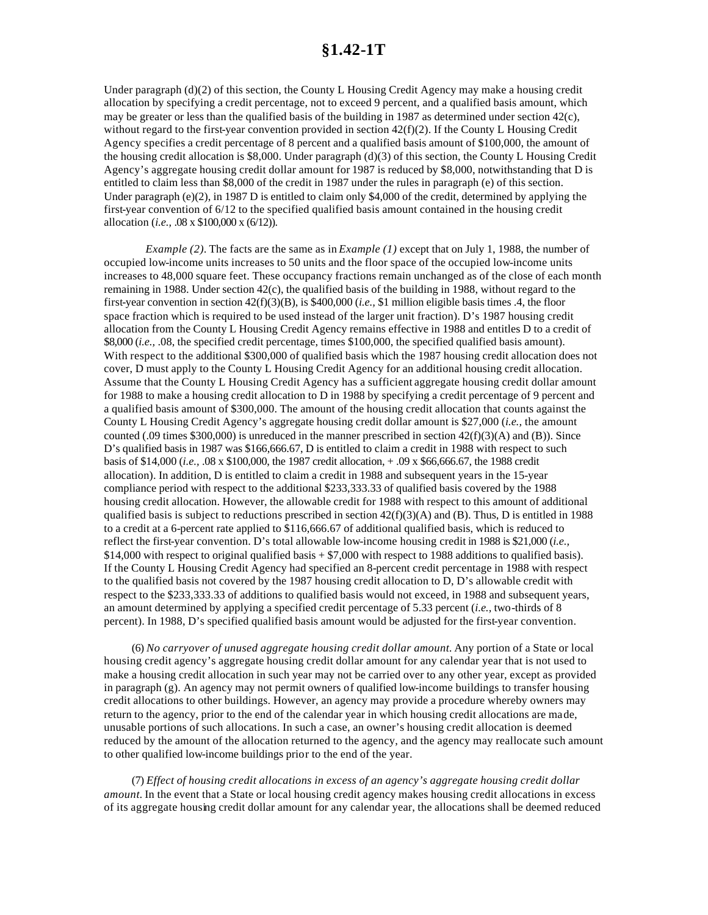Under paragraph (d)(2) of this section, the County L Housing Credit Agency may make a housing credit allocation by specifying a credit percentage, not to exceed 9 percent, and a qualified basis amount, which may be greater or less than the qualified basis of the building in 1987 as determined under section 42(c), without regard to the first-year convention provided in section 42(f)(2). If the County L Housing Credit Agency specifies a credit percentage of 8 percent and a qualified basis amount of \$100,000, the amount of the housing credit allocation is \$8,000. Under paragraph (d)(3) of this section, the County L Housing Credit Agency's aggregate housing credit dollar amount for 1987 is reduced by \$8,000, notwithstanding that D is entitled to claim less than \$8,000 of the credit in 1987 under the rules in paragraph (e) of this section. Under paragraph (e)(2), in 1987 D is entitled to claim only \$4,000 of the credit, determined by applying the first-year convention of 6/12 to the specified qualified basis amount contained in the housing credit allocation (*i.e.,* .08 x \$100,000 x (6/12)).

*Example (2).* The facts are the same as in *Example (1)* except that on July 1, 1988, the number of occupied low-income units increases to 50 units and the floor space of the occupied low-income units increases to 48,000 square feet. These occupancy fractions remain unchanged as of the close of each month remaining in 1988. Under section 42(c), the qualified basis of the building in 1988, without regard to the first-year convention in section 42(f)(3)(B), is \$400,000 (*i.e.,* \$1 million eligible basis times .4, the floor space fraction which is required to be used instead of the larger unit fraction). D's 1987 housing credit allocation from the County L Housing Credit Agency remains effective in 1988 and entitles D to a credit of \$8,000 (*i.e.,* .08, the specified credit percentage, times \$100,000, the specified qualified basis amount). With respect to the additional \$300,000 of qualified basis which the 1987 housing credit allocation does not cover, D must apply to the County L Housing Credit Agency for an additional housing credit allocation. Assume that the County L Housing Credit Agency has a sufficient aggregate housing credit dollar amount for 1988 to make a housing credit allocation to D in 1988 by specifying a credit percentage of 9 percent and a qualified basis amount of \$300,000. The amount of the housing credit allocation that counts against the County L Housing Credit Agency's aggregate housing credit dollar amount is \$27,000 (*i.e.,* the amount counted (.09 times  $$300,000$ ) is unreduced in the manner prescribed in section  $42(f)(3)(A)$  and (B)). Since D's qualified basis in 1987 was \$166,666.67, D is entitled to claim a credit in 1988 with respect to such basis of \$14,000 (*i.e.,* .08 x \$100,000, the 1987 credit allocation, + .09 x \$66,666.67, the 1988 credit allocation). In addition, D is entitled to claim a credit in 1988 and subsequent years in the 15-year compliance period with respect to the additional \$233,333.33 of qualified basis covered by the 1988 housing credit allocation. However, the allowable credit for 1988 with respect to this amount of additional qualified basis is subject to reductions prescribed in section  $42(f)(3)(A)$  and (B). Thus, D is entitled in 1988 to a credit at a 6-percent rate applied to \$116,666.67 of additional qualified basis, which is reduced to reflect the first-year convention. D's total allowable low-income housing credit in 1988 is \$21,000 (*i.e.,* \$14,000 with respect to original qualified basis + \$7,000 with respect to 1988 additions to qualified basis). If the County L Housing Credit Agency had specified an 8-percent credit percentage in 1988 with respect to the qualified basis not covered by the 1987 housing credit allocation to D, D's allowable credit with respect to the \$233,333,33 of additions to qualified basis would not exceed, in 1988 and subsequent years, an amount determined by applying a specified credit percentage of 5.33 percent (*i.e.,* two-thirds of 8 percent). In 1988, D's specified qualified basis amount would be adjusted for the first-year convention.

(6) *No carryover of unused aggregate housing credit dollar amount.* Any portion of a State or local housing credit agency's aggregate housing credit dollar amount for any calendar year that is not used to make a housing credit allocation in such year may not be carried over to any other year, except as provided in paragraph (g). An agency may not permit owners of qualified low-income buildings to transfer housing credit allocations to other buildings. However, an agency may provide a procedure whereby owners may return to the agency, prior to the end of the calendar year in which housing credit allocations are made, unusable portions of such allocations. In such a case, an owner's housing credit allocation is deemed reduced by the amount of the allocation returned to the agency, and the agency may reallocate such amount to other qualified low-income buildings prior to the end of the year.

(7) *Effect of housing credit allocations in excess of an agency's aggregate housing credit dollar amount.* In the event that a State or local housing credit agency makes housing credit allocations in excess of its aggregate housing credit dollar amount for any calendar year, the allocations shall be deemed reduced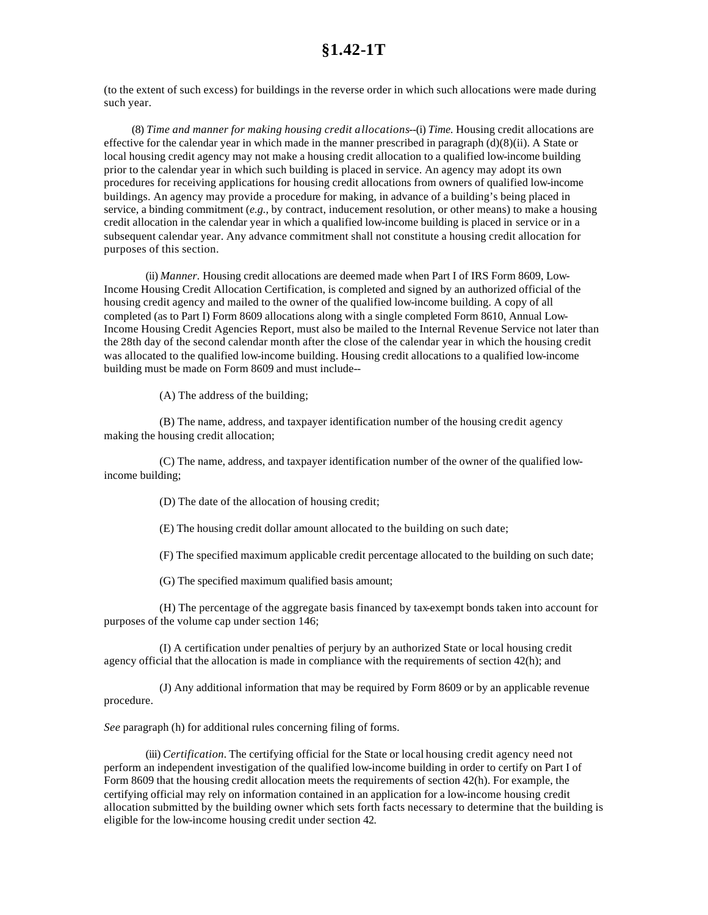(to the extent of such excess) for buildings in the reverse order in which such allocations were made during such year.

(8) *Time and manner for making housing credit allocations*--(i) *Time.* Housing credit allocations are effective for the calendar year in which made in the manner prescribed in paragraph  $(d)(8)(ii)$ . A State or local housing credit agency may not make a housing credit allocation to a qualified low-income building prior to the calendar year in which such building is placed in service. An agency may adopt its own procedures for receiving applications for housing credit allocations from owners of qualified low-income buildings. An agency may provide a procedure for making, in advance of a building's being placed in service, a binding commitment (*e.g.,* by contract, inducement resolution, or other means) to make a housing credit allocation in the calendar year in which a qualified low-income building is placed in service or in a subsequent calendar year. Any advance commitment shall not constitute a housing credit allocation for purposes of this section.

(ii) *Manner.* Housing credit allocations are deemed made when Part I of IRS Form 8609, Low-Income Housing Credit Allocation Certification, is completed and signed by an authorized official of the housing credit agency and mailed to the owner of the qualified low-income building. A copy of all completed (as to Part I) Form 8609 allocations along with a single completed Form 8610, Annual Low-Income Housing Credit Agencies Report, must also be mailed to the Internal Revenue Service not later than the 28th day of the second calendar month after the close of the calendar year in which the housing credit was allocated to the qualified low-income building. Housing credit allocations to a qualified low-income building must be made on Form 8609 and must include--

(A) The address of the building;

(B) The name, address, and taxpayer identification number of the housing credit agency making the housing credit allocation;

(C) The name, address, and taxpayer identification number of the owner of the qualified lowincome building;

(D) The date of the allocation of housing credit;

(E) The housing credit dollar amount allocated to the building on such date;

(F) The specified maximum applicable credit percentage allocated to the building on such date;

(G) The specified maximum qualified basis amount;

(H) The percentage of the aggregate basis financed by tax-exempt bonds taken into account for purposes of the volume cap under section 146;

(I) A certification under penalties of perjury by an authorized State or local housing credit agency official that the allocation is made in compliance with the requirements of section 42(h); and

(J) Any additional information that may be required by Form 8609 or by an applicable revenue procedure.

*See* paragraph (h) for additional rules concerning filing of forms.

(iii) *Certification.* The certifying official for the State or local housing credit agency need not perform an independent investigation of the qualified low-income building in order to certify on Part I of Form 8609 that the housing credit allocation meets the requirements of section 42(h). For example, the certifying official may rely on information contained in an application for a low-income housing credit allocation submitted by the building owner which sets forth facts necessary to determine that the building is eligible for the low-income housing credit under section 42.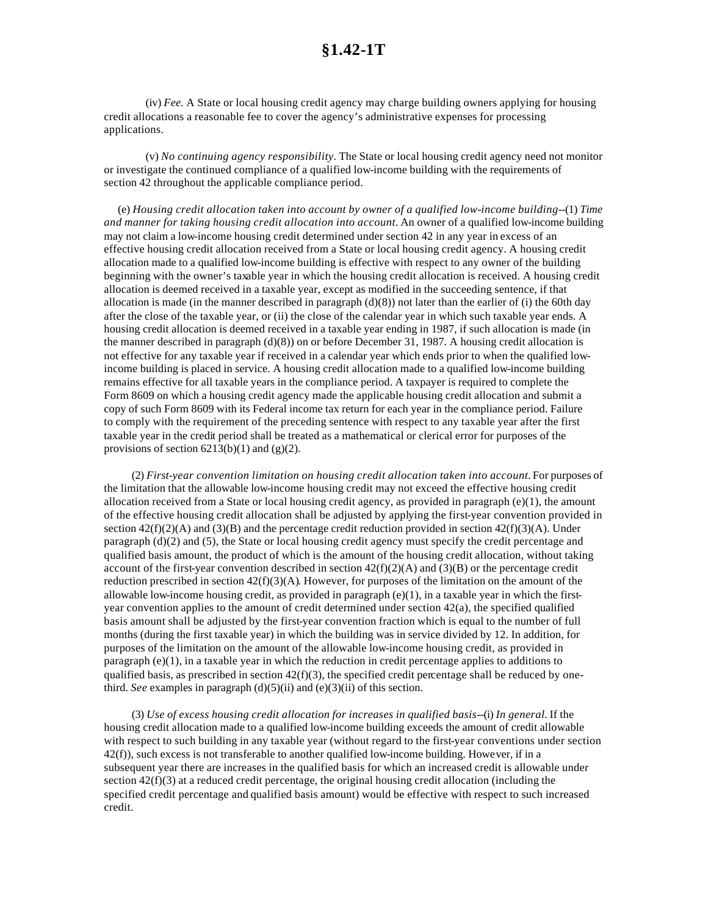(iv) *Fee.* A State or local housing credit agency may charge building owners applying for housing credit allocations a reasonable fee to cover the agency's administrative expenses for processing applications.

(v) *No continuing agency responsibility.* The State or local housing credit agency need not monitor or investigate the continued compliance of a qualified low-income building with the requirements of section 42 throughout the applicable compliance period.

(e) *Housing credit allocation taken into account by owner of a qualified low-income building*--(1) *Time and manner for taking housing credit allocation into account.* An owner of a qualified low-income building may not claim a low-income housing credit determined under section 42 in any year in excess of an effective housing credit allocation received from a State or local housing credit agency. A housing credit allocation made to a qualified low-income building is effective with respect to any owner of the building beginning with the owner's taxable year in which the housing credit allocation is received. A housing credit allocation is deemed received in a taxable year, except as modified in the succeeding sentence, if that allocation is made (in the manner described in paragraph  $(d)(8)$ ) not later than the earlier of (i) the 60th day after the close of the taxable year, or (ii) the close of the calendar year in which such taxable year ends. A housing credit allocation is deemed received in a taxable year ending in 1987, if such allocation is made (in the manner described in paragraph (d)(8)) on or before December 31, 1987. A housing credit allocation is not effective for any taxable year if received in a calendar year which ends prior to when the qualified lowincome building is placed in service. A housing credit allocation made to a qualified low-income building remains effective for all taxable years in the compliance period. A taxpayer is required to complete the Form 8609 on which a housing credit agency made the applicable housing credit allocation and submit a copy of such Form 8609 with its Federal income tax return for each year in the compliance period. Failure to comply with the requirement of the preceding sentence with respect to any taxable year after the first taxable year in the credit period shall be treated as a mathematical or clerical error for purposes of the provisions of section  $6213(b)(1)$  and  $(g)(2)$ .

(2) *First-year convention limitation on housing credit allocation taken into account.* For purposes of the limitation that the allowable low-income housing credit may not exceed the effective housing credit allocation received from a State or local housing credit agency, as provided in paragraph (e)(1), the amount of the effective housing credit allocation shall be adjusted by applying the first-year convention provided in section  $42(f)(2)(A)$  and  $(3)(B)$  and the percentage credit reduction provided in section  $42(f)(3)(A)$ . Under paragraph (d)(2) and (5), the State or local housing credit agency must specify the credit percentage and qualified basis amount, the product of which is the amount of the housing credit allocation, without taking account of the first-year convention described in section  $42(f)(2)(A)$  and  $(3)(B)$  or the percentage credit reduction prescribed in section  $42(f)(3)(A)$ . However, for purposes of the limitation on the amount of the allowable low-income housing credit, as provided in paragraph  $(e)(1)$ , in a taxable year in which the firstyear convention applies to the amount of credit determined under section  $42(a)$ , the specified qualified basis amount shall be adjusted by the first-year convention fraction which is equal to the number of full months (during the first taxable year) in which the building was in service divided by 12. In addition, for purposes of the limitation on the amount of the allowable low-income housing credit, as provided in paragraph (e)(1), in a taxable year in which the reduction in credit percentage applies to additions to qualified basis, as prescribed in section  $42(f)(3)$ , the specified credit percentage shall be reduced by onethird. *See* examples in paragraph  $(d)(5)(ii)$  and  $(e)(3)(ii)$  of this section.

(3) *Use of excess housing credit allocation for increases in qualified basis*--(i) *In general.* If the housing credit allocation made to a qualified low-income building exceeds the amount of credit allowable with respect to such building in any taxable year (without regard to the first-year conventions under section 42(f)), such excess is not transferable to another qualified low-income building. However, if in a subsequent year there are increases in the qualified basis for which an increased credit is allowable under section  $42(f)(3)$  at a reduced credit percentage, the original housing credit allocation (including the specified credit percentage and qualified basis amount) would be effective with respect to such increased credit.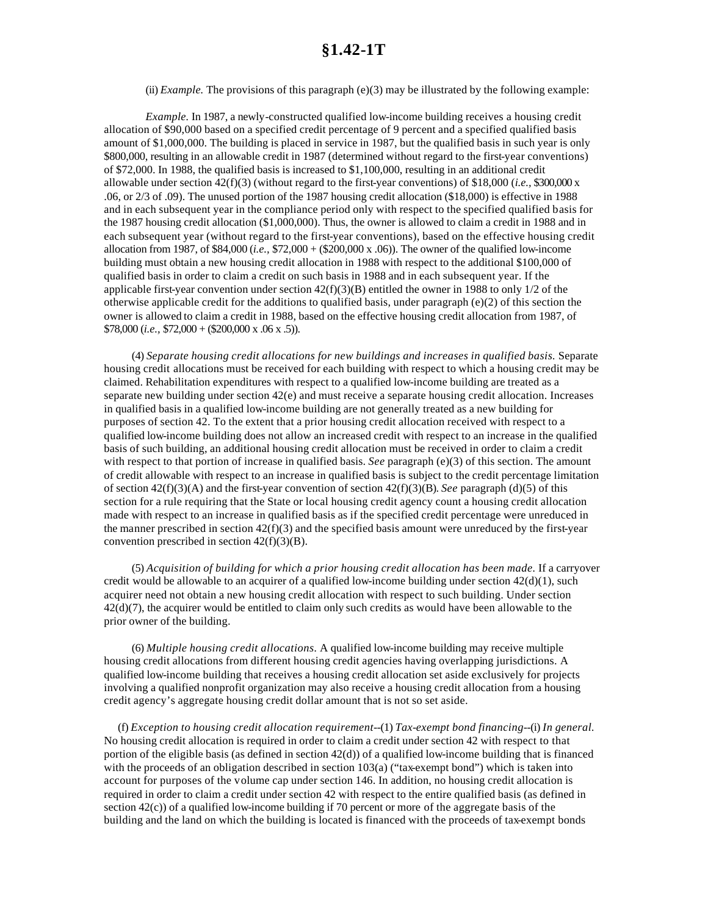(ii) *Example*. The provisions of this paragraph  $(e)(3)$  may be illustrated by the following example:

*Example.* In 1987, a newly-constructed qualified low-income building receives a housing credit allocation of \$90,000 based on a specified credit percentage of 9 percent and a specified qualified basis amount of \$1,000,000. The building is placed in service in 1987, but the qualified basis in such year is only \$800,000, resulting in an allowable credit in 1987 (determined without regard to the first-year conventions) of \$72,000. In 1988, the qualified basis is increased to \$1,100,000, resulting in an additional credit allowable under section 42(f)(3) (without regard to the first-year conventions) of \$18,000 (*i.e.,* \$300,000 x .06, or 2/3 of .09). The unused portion of the 1987 housing credit allocation (\$18,000) is effective in 1988 and in each subsequent year in the compliance period only with respect to the specified qualified basis for the 1987 housing credit allocation (\$1,000,000). Thus, the owner is allowed to claim a credit in 1988 and in each subsequent year (without regard to the first-year conventions), based on the effective housing credit allocation from 1987, of \$84,000 (*i.e.,* \$72,000 + (\$200,000 x .06)). The owner of the qualified low-income building must obtain a new housing credit allocation in 1988 with respect to the additional \$100,000 of qualified basis in order to claim a credit on such basis in 1988 and in each subsequent year. If the applicable first-year convention under section  $42(f)(3)(B)$  entitled the owner in 1988 to only 1/2 of the otherwise applicable credit for the additions to qualified basis, under paragraph  $(e)(2)$  of this section the owner is allowed to claim a credit in 1988, based on the effective housing credit allocation from 1987, of  $$78,000$  (*i.e.*,  $$72,000 + ($200,000 \text{ x } .06 \text{ x } .5)$ ).

(4) *Separate housing credit allocations for new buildings and increases in qualified basis.* Separate housing credit allocations must be received for each building with respect to which a housing credit may be claimed. Rehabilitation expenditures with respect to a qualified low-income building are treated as a separate new building under section 42(e) and must receive a separate housing credit allocation. Increases in qualified basis in a qualified low-income building are not generally treated as a new building for purposes of section 42. To the extent that a prior housing credit allocation received with respect to a qualified low-income building does not allow an increased credit with respect to an increase in the qualified basis of such building, an additional housing credit allocation must be received in order to claim a credit with respect to that portion of increase in qualified basis. *See* paragraph (e)(3) of this section. The amount of credit allowable with respect to an increase in qualified basis is subject to the credit percentage limitation of section 42(f)(3)(A) and the first-year convention of section 42(f)(3)(B). *See* paragraph (d)(5) of this section for a rule requiring that the State or local housing credit agency count a housing credit allocation made with respect to an increase in qualified basis as if the specified credit percentage were unreduced in the manner prescribed in section  $42(f)(3)$  and the specified basis amount were unreduced by the first-year convention prescribed in section  $42(f)(3)(B)$ .

(5) *Acquisition of building for which a prior housing credit allocation has been made.* If a carryover credit would be allowable to an acquirer of a qualified low-income building under section  $42(d)(1)$ , such acquirer need not obtain a new housing credit allocation with respect to such building. Under section  $42(d)(7)$ , the acquirer would be entitled to claim only such credits as would have been allowable to the prior owner of the building.

(6) *Multiple housing credit allocations.* A qualified low-income building may receive multiple housing credit allocations from different housing credit agencies having overlapping jurisdictions. A qualified low-income building that receives a housing credit allocation set aside exclusively for projects involving a qualified nonprofit organization may also receive a housing credit allocation from a housing credit agency's aggregate housing credit dollar amount that is not so set aside.

(f) *Exception to housing credit allocation requirement*--(1) *Tax-exempt bond financing*--(i) *In general.* No housing credit allocation is required in order to claim a credit under section 42 with respect to that portion of the eligible basis (as defined in section  $42(d)$ ) of a qualified low-income building that is financed with the proceeds of an obligation described in section 103(a) ("tax-exempt bond") which is taken into account for purposes of the volume cap under section 146. In addition, no housing credit allocation is required in order to claim a credit under section 42 with respect to the entire qualified basis (as defined in section 42(c)) of a qualified low-income building if 70 percent or more of the aggregate basis of the building and the land on which the building is located is financed with the proceeds of tax-exempt bonds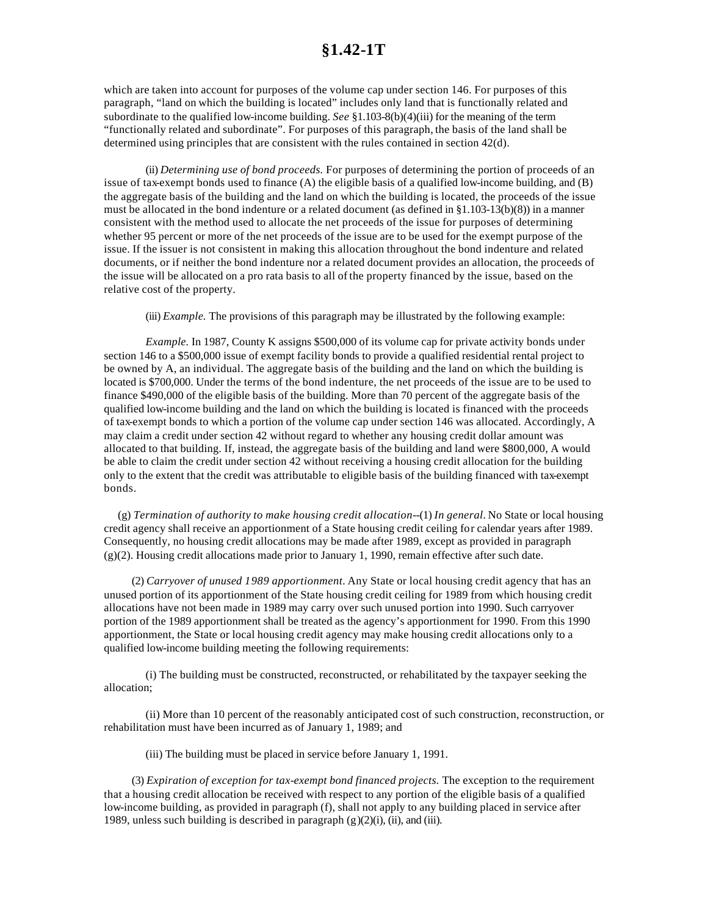which are taken into account for purposes of the volume cap under section 146. For purposes of this paragraph, "land on which the building is located" includes only land that is functionally related and subordinate to the qualified low-income building. *See* §1.103-8(b)(4)(iii) for the meaning of the term "functionally related and subordinate". For purposes of this paragraph, the basis of the land shall be determined using principles that are consistent with the rules contained in section 42(d).

(ii) *Determining use of bond proceeds.* For purposes of determining the portion of proceeds of an issue of tax-exempt bonds used to finance (A) the eligible basis of a qualified low-income building, and (B) the aggregate basis of the building and the land on which the building is located, the proceeds of the issue must be allocated in the bond indenture or a related document (as defined in §1.103-13(b)(8)) in a manner consistent with the method used to allocate the net proceeds of the issue for purposes of determining whether 95 percent or more of the net proceeds of the issue are to be used for the exempt purpose of the issue. If the issuer is not consistent in making this allocation throughout the bond indenture and related documents, or if neither the bond indenture nor a related document provides an allocation, the proceeds of the issue will be allocated on a pro rata basis to all of the property financed by the issue, based on the relative cost of the property.

(iii) *Example.* The provisions of this paragraph may be illustrated by the following example:

*Example.* In 1987, County K assigns \$500,000 of its volume cap for private activity bonds under section 146 to a \$500,000 issue of exempt facility bonds to provide a qualified residential rental project to be owned by A, an individual. The aggregate basis of the building and the land on which the building is located is \$700,000. Under the terms of the bond indenture, the net proceeds of the issue are to be used to finance \$490,000 of the eligible basis of the building. More than 70 percent of the aggregate basis of the qualified low-income building and the land on which the building is located is financed with the proceeds of tax-exempt bonds to which a portion of the volume cap under section 146 was allocated. Accordingly, A may claim a credit under section 42 without regard to whether any housing credit dollar amount was allocated to that building. If, instead, the aggregate basis of the building and land were \$800,000, A would be able to claim the credit under section 42 without receiving a housing credit allocation for the building only to the extent that the credit was attributable to eligible basis of the building financed with tax-exempt bonds.

(g) *Termination of authority to make housing credit allocation*--(1) *In general.* No State or local housing credit agency shall receive an apportionment of a State housing credit ceiling for calendar years after 1989. Consequently, no housing credit allocations may be made after 1989, except as provided in paragraph  $(g)(2)$ . Housing credit allocations made prior to January 1, 1990, remain effective after such date.

(2) *Carryover of unused 1989 apportionment.* Any State or local housing credit agency that has an unused portion of its apportionment of the State housing credit ceiling for 1989 from which housing credit allocations have not been made in 1989 may carry over such unused portion into 1990. Such carryover portion of the 1989 apportionment shall be treated as the agency's apportionment for 1990. From this 1990 apportionment, the State or local housing credit agency may make housing credit allocations only to a qualified low-income building meeting the following requirements:

(i) The building must be constructed, reconstructed, or rehabilitated by the taxpayer seeking the allocation;

(ii) More than 10 percent of the reasonably anticipated cost of such construction, reconstruction, or rehabilitation must have been incurred as of January 1, 1989; and

(iii) The building must be placed in service before January 1, 1991.

(3) *Expiration of exception for tax-exempt bond financed projects.* The exception to the requirement that a housing credit allocation be received with respect to any portion of the eligible basis of a qualified low-income building, as provided in paragraph (f), shall not apply to any building placed in service after 1989, unless such building is described in paragraph (g)(2)(i), (ii), and (iii).